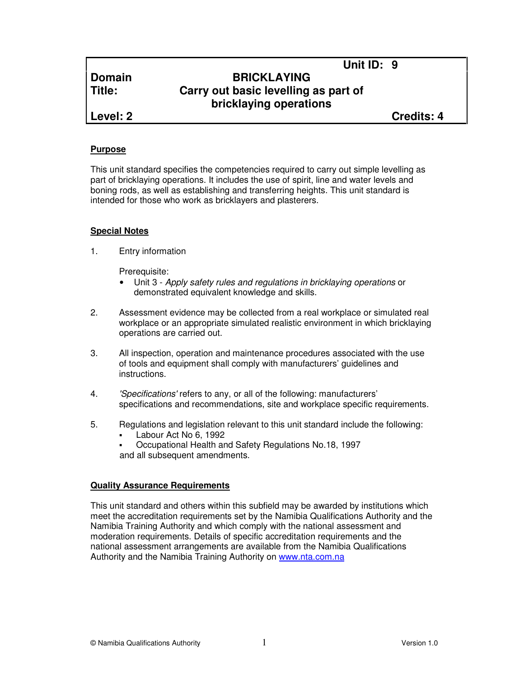# **Domain BRICKLAYING Title: Carry out basic levelling as part of bricklaying operations**

**Level: 2 Credits: 4**

**Unit ID: 9** 

#### **Purpose**

This unit standard specifies the competencies required to carry out simple levelling as part of bricklaying operations. It includes the use of spirit, line and water levels and boning rods, as well as establishing and transferring heights. This unit standard is intended for those who work as bricklayers and plasterers.

### **Special Notes**

1. Entry information

Prerequisite:

- Unit 3 Apply safety rules and regulations in bricklaying operations or demonstrated equivalent knowledge and skills.
- 2. Assessment evidence may be collected from a real workplace or simulated real workplace or an appropriate simulated realistic environment in which bricklaying operations are carried out.
- 3. All inspection, operation and maintenance procedures associated with the use of tools and equipment shall comply with manufacturers' guidelines and instructions.
- 4. 'Specifications' refers to any, or all of the following: manufacturers' specifications and recommendations, site and workplace specific requirements.
- 5. Regulations and legislation relevant to this unit standard include the following:
	- Labour Act No 6, 1992
	- Occupational Health and Safety Regulations No.18, 1997 and all subsequent amendments.

# **Quality Assurance Requirements**

This unit standard and others within this subfield may be awarded by institutions which meet the accreditation requirements set by the Namibia Qualifications Authority and the Namibia Training Authority and which comply with the national assessment and moderation requirements. Details of specific accreditation requirements and the national assessment arrangements are available from the Namibia Qualifications Authority and the Namibia Training Authority on www.nta.com.na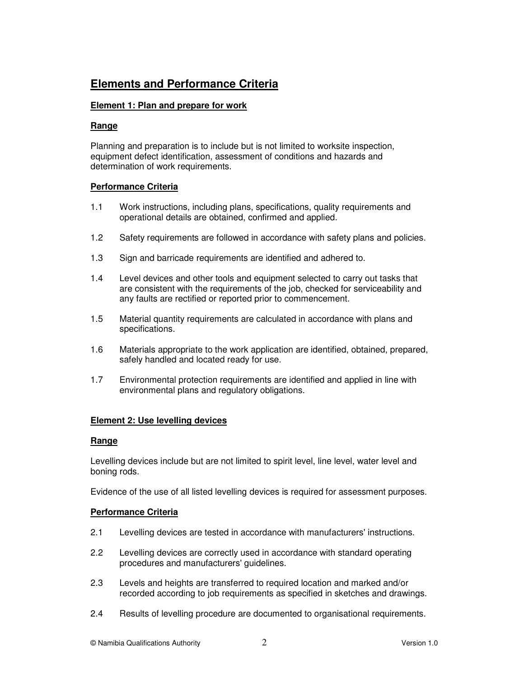# **Elements and Performance Criteria**

### **Element 1: Plan and prepare for work**

#### **Range**

Planning and preparation is to include but is not limited to worksite inspection, equipment defect identification, assessment of conditions and hazards and determination of work requirements.

### **Performance Criteria**

- 1.1 Work instructions, including plans, specifications, quality requirements and operational details are obtained, confirmed and applied.
- 1.2 Safety requirements are followed in accordance with safety plans and policies.
- 1.3 Sign and barricade requirements are identified and adhered to.
- 1.4 Level devices and other tools and equipment selected to carry out tasks that are consistent with the requirements of the job, checked for serviceability and any faults are rectified or reported prior to commencement.
- 1.5 Material quantity requirements are calculated in accordance with plans and specifications.
- 1.6 Materials appropriate to the work application are identified, obtained, prepared, safely handled and located ready for use.
- 1.7 Environmental protection requirements are identified and applied in line with environmental plans and regulatory obligations.

# **Element 2: Use levelling devices**

#### **Range**

Levelling devices include but are not limited to spirit level, line level, water level and boning rods.

Evidence of the use of all listed levelling devices is required for assessment purposes.

# **Performance Criteria**

- 2.1 Levelling devices are tested in accordance with manufacturers' instructions.
- 2.2 Levelling devices are correctly used in accordance with standard operating procedures and manufacturers' guidelines.
- 2.3 Levels and heights are transferred to required location and marked and/or recorded according to job requirements as specified in sketches and drawings.
- 2.4 Results of levelling procedure are documented to organisational requirements.